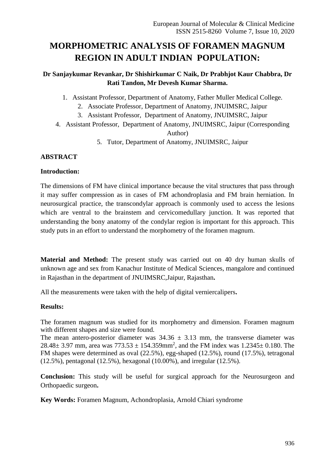# **MORPHOMETRIC ANALYSIS OF FORAMEN MAGNUM REGION IN ADULT INDIAN POPULATION:**

# **Dr Sanjaykumar Revankar, Dr Shishirkumar C Naik, Dr Prabhjot Kaur Chabbra, Dr Rati Tandon, Mr Devesh Kumar Sharma.**

1. Assistant Professor, Department of Anatomy, Father Muller Medical College.

- 2. Associate Professor, Department of Anatomy, JNUIMSRC, Jaipur
- 3. Assistant Professor, Department of Anatomy, JNUIMSRC, Jaipur
- 4. Assistant Professor, Department of Anatomy, JNUIMSRC, Jaipur (Corresponding Author)
	- 5. Tutor, Department of Anatomy, JNUIMSRC, Jaipur

# **ABSTRACT**

# **Introduction:**

The dimensions of FM have clinical importance because the vital structures that pass through it may suffer compression as in cases of FM achondroplasia and FM brain herniation. In neurosurgical practice, the transcondylar approach is commonly used to access the lesions which are ventral to the brainstem and cervicomedullary junction. It was reported that understanding the bony anatomy of the condylar region is important for this approach. This study puts in an effort to understand the morphometry of the foramen magnum.

**Material and Method:** The present study was carried out on 40 dry human skulls of unknown age and sex from Kanachur Institute of Medical Sciences, mangalore and continued in Rajasthan in the department of JNUIMSRC,Jaipur, Rajasthan**.** 

All the measurements were taken with the help of digital verniercalipers**.**

# **Results:**

The foramen magnum was studied for its morphometry and dimension. Foramen magnum with different shapes and size were found.

The mean antero-posterior diameter was  $34.36 \pm 3.13$  mm, the transverse diameter was 28.48 $\pm$  3.97 mm, area was 773.53  $\pm$  154.359mm<sup>2</sup>, and the FM index was 1.2345 $\pm$  0.180. The FM shapes were determined as oval (22.5%), egg-shaped (12.5%), round (17.5%), tetragonal (12.5%), pentagonal (12.5%), hexagonal (10.00%), and irregular (12.5%).

**Conclusion:** This study will be useful for surgical approach for the Neurosurgeon and Orthopaedic surgeon**.**

**Key Words:** Foramen Magnum, Achondroplasia, Arnold Chiari syndrome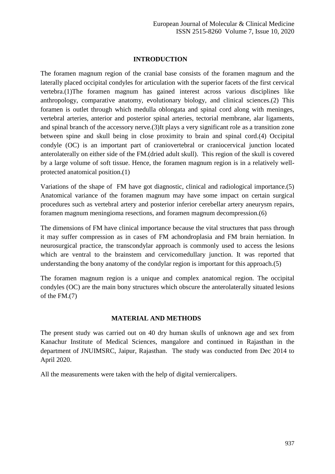## **INTRODUCTION**

The foramen magnum region of the cranial base consists of the foramen magnum and the laterally placed occipital condyles for articulation with the superior facets of the first cervical vertebra.(1)The foramen magnum has gained interest across various disciplines like anthropology, comparative anatomy, evolutionary biology, and clinical sciences.(2) This foramen is outlet through which medulla oblongata and spinal cord along with meninges, vertebral arteries, anterior and posterior spinal arteries, tectorial membrane, alar ligaments, and spinal branch of the accessory nerve.(3)It plays a very significant role as a transition zone between spine and skull being in close proximity to brain and spinal cord.(4) Occipital condyle (OC) is an important part of craniovertebral or craniocervical junction located anterolaterally on either side of the FM.(dried adult skull). This region of the skull is covered by a large volume of soft tissue. Hence, the foramen magnum region is in a relatively wellprotected anatomical position.(1)

Variations of the shape of FM have got diagnostic, clinical and radiological importance.(5) Anatomical variance of the foramen magnum may have some impact on certain surgical procedures such as vertebral artery and posterior inferior cerebellar artery aneurysm repairs, foramen magnum meningioma resections, and foramen magnum decompression.(6)

The dimensions of FM have clinical importance because the vital structures that pass through it may suffer compression as in cases of FM achondroplasia and FM brain herniation. In neurosurgical practice, the transcondylar approach is commonly used to access the lesions which are ventral to the brainstem and cervicomedullary junction. It was reported that understanding the bony anatomy of the condylar region is important for this approach.(5)

The foramen magnum region is a unique and complex anatomical region. The occipital condyles (OC) are the main bony structures which obscure the anterolaterally situated lesions of the FM.(7)

## **MATERIAL AND METHODS**

The present study was carried out on 40 dry human skulls of unknown age and sex from Kanachur Institute of Medical Sciences, mangalore and continued in Rajasthan in the department of JNUIMSRC, Jaipur, Rajasthan. The study was conducted from Dec 2014 to April 2020.

All the measurements were taken with the help of digital verniercalipers.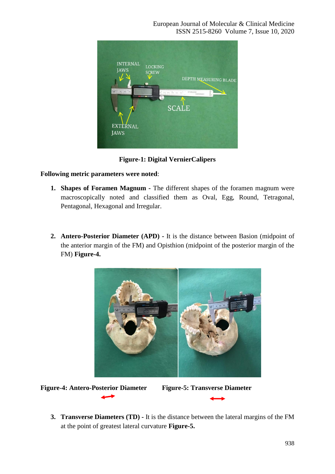

**Figure-1: Digital VernierCalipers**

# **Following metric parameters were noted**:

- **1. Shapes of Foramen Magnum -** The different shapes of the foramen magnum were macroscopically noted and classified them as Oval, Egg, Round, Tetragonal, Pentagonal, Hexagonal and Irregular.
- **2. Antero-Posterior Diameter (APD) -** It is the distance between Basion (midpoint of the anterior margin of the FM) and Opisthion (midpoint of the posterior margin of the FM) **Figure-4.**







**3. Transverse Diameters (TD) -** It is the distance between the lateral margins of the FM at the point of greatest lateral curvature **Figure-5.**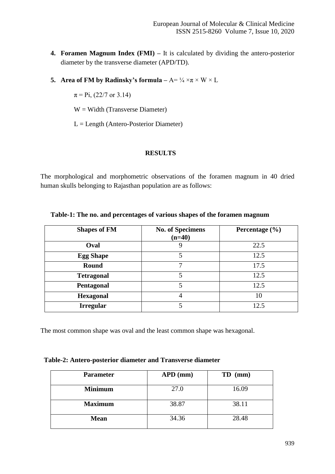- **4. Foramen Magnum Index (FMI) –** It is calculated by dividing the antero-posterior diameter by the transverse diameter (APD/TD).
- **5. Area of FM by Radinsky's formula**  $A = \frac{1}{4} \times \pi \times W \times L$

 $\pi$  = Pi, (22/7 or 3.14)

 $W = Width (Transverse Diameter)$ 

L = Length (Antero-Posterior Diameter)

#### **RESULTS**

The morphological and morphometric observations of the foramen magnum in 40 dried human skulls belonging to Rajasthan population are as follows:

| <b>Shapes of FM</b> | <b>No. of Specimens</b><br>$(n=40)$ | Percentage $(\% )$ |
|---------------------|-------------------------------------|--------------------|
| Oval                |                                     | 22.5               |
| <b>Egg Shape</b>    |                                     | 12.5               |
| <b>Round</b>        | 7                                   | 17.5               |
| <b>Tetragonal</b>   |                                     | 12.5               |
| Pentagonal          |                                     | 12.5               |
| <b>Hexagonal</b>    |                                     | 10                 |
| <b>Irregular</b>    |                                     | 12.5               |

**Table-1: The no. and percentages of various shapes of the foramen magnum**

The most common shape was oval and the least common shape was hexagonal.

| Table-2: Antero-posterior diameter and Transverse diameter |  |  |
|------------------------------------------------------------|--|--|
|------------------------------------------------------------|--|--|

| <b>Parameter</b> | $APD$ (mm) | $TD$ (mm) |
|------------------|------------|-----------|
| <b>Minimum</b>   | 27.0       | 16.09     |
| <b>Maximum</b>   | 38.87      | 38.11     |
| <b>Mean</b>      | 34.36      | 28.48     |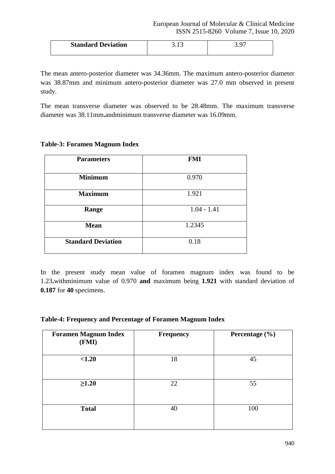| <b>Standard Deviation</b> | <u>.</u> |  |  |
|---------------------------|----------|--|--|
|---------------------------|----------|--|--|

The mean antero-posterior diameter was 34.36mm. The maximum antero-posterior diameter was 38.87mm and minimum antero-posterior diameter was 27.0 mm observed in present study.

The mean transverse diameter was observed to be 28.48mm. The maximum transverse diameter was 38.11mm**.**andminimum transverse diameter was 16.09mm.

## **Table-3: Foramen Magnum Index**

| <b>Parameters</b>         | <b>FMI</b>    |
|---------------------------|---------------|
| <b>Minimum</b>            | 0.970         |
| <b>Maximum</b>            | 1.921         |
| Range                     | $1.04 - 1.41$ |
| <b>Mean</b>               | 1.2345        |
| <b>Standard Deviation</b> | 0.18          |

In the present study mean value of foramen magnum index was found to be 1.23**.**withminimum value of 0.970 **and** maximum being **1.921** with standard deviation of **0.187** for **40** specimens.

## **Table-4: Frequency and Percentage of Foramen Magnum Index**

| <b>Foramen Magnum Index</b><br>(FMI) | <b>Frequency</b> | Percentage (%) |  |  |  |  |
|--------------------------------------|------------------|----------------|--|--|--|--|
| < 1.20                               | 18               | 45             |  |  |  |  |
| $\geq 1.20$                          | 22               | 55             |  |  |  |  |
| <b>Total</b>                         | 40               | 100            |  |  |  |  |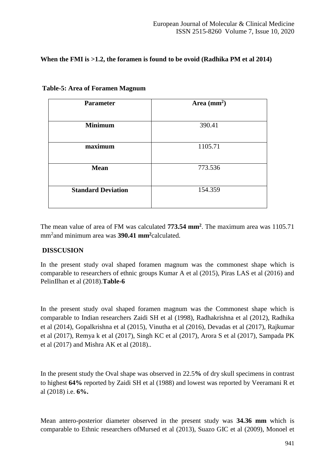# **When the FMI is >1.2, the foramen is found to be ovoid (Radhika PM et al 2014)**

| <b>Parameter</b>          | Area $(mm2)$ |
|---------------------------|--------------|
| <b>Minimum</b>            | 390.41       |
| maximum                   | 1105.71      |
| <b>Mean</b>               | 773.536      |
| <b>Standard Deviation</b> | 154.359      |
|                           |              |

**Table-5: Area of Foramen Magnum**

The mean value of area of FM was calculated **773.54 mm<sup>2</sup>** . The maximum area was 1105.71 mm<sup>2</sup> and minimum area was **390.41 mm<sup>2</sup>**calculated.

## **DISSCUSION**

In the present study oval shaped foramen magnum was the commonest shape which is comparable to researchers of ethnic groups Kumar A et al (2015), Piras LAS et al (2016) and PelinIlhan et al (2018).**Table-6**

In the present study oval shaped foramen magnum was the Commonest shape which is comparable to Indian researchers Zaidi SH et al (1998), Radhakrishna et al (2012), Radhika et al (2014), Gopalkrishna et al (2015), Vinutha et al (2016), Devadas et al (2017), Rajkumar et al (2017), Remya k et al (2017), Singh KC et al (2017), Arora S et al (2017), Sampada PK et al (2017) and Mishra AK et al (2018)..

In the present study the Oval shape was observed in 22.5**%** of dry skull specimens in contrast to highest **64%** reported by Zaidi SH et al (1988) and lowest was reported by Veeramani R et al (2018) i.e. **6%.**

Mean antero-posterior diameter observed in the present study was **34.36 mm** which is comparable to Ethnic researchers ofMursed et al (2013), Suazo GIC et al (2009), Monoel et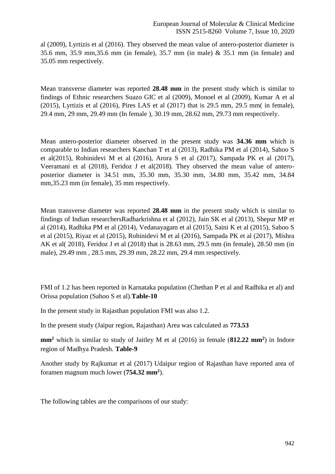al (2009), Lyrtizis et al (2016). They observed the mean value of antero-posterior diameter is 35.6 mm, 35.9 mm,35.6 mm (in female), 35.7 mm (in male) & 35.1 mm (in female) and 35.05 mm respectively.

Mean transverse diameter was reported **28.48 mm** in the present study which is similar to findings of Ethnic researchers Suazo GIC et al (2009), Monoel et al (2009), Kumar A et al  $(2015)$ , Lyrtizis et al  $(2016)$ , Pires LAS et al  $(2017)$  that is 29.5 mm, 29.5 mm in female), 29.4 mm, 29 mm, 29.49 mm (In female ), 30.19 mm, 28.62 mm, 29.73 mm respectively.

Mean antero-posterior diameter observed in the present study was **34.36 mm** which is comparable to Indian researchers Kanchan T et al (2013), Radhika PM et al (2014), Sahoo S et al(2015), Rohinidevi M et al (2016), Arora S et al (2017), Sampada PK et al (2017), Veeramani et al (2018), Feridoz J et al(2018). They observed the mean value of anteroposterior diameter is 34.51 mm, 35.30 mm, 35.30 mm, 34.80 mm, 35.42 mm, 34.84 mm,35.23 mm (in female), 35 mm respectively.

Mean transverse diameter was reported **28.48 mm** in the present study which is similar to findings of Indian researchersRadharkrishna et al (2012), Jain SK et al (2013), Shepur MP et al (2014), Radhika PM et al (2014), Vedanayagam et al (2015), Saini K et al (2015), Sahoo S et al (2015), Riyaz et al (2015), Rohinidevi M et al (2016), Sampada PK et al (2017), Mishra AK et al( 2018), Feridoz J et al (2018) that is 28.63 mm, 29.5 mm (in female), 28.50 mm (in male), 29.49 mm , 28.5 mm, 29.39 mm, 28.22 mm, 29.4 mm respectively.

FMI of 1.2 has been reported in Karnataka population (Chethan P et al and Radhika et al) and Orissa population (Sahoo S et al).**Table-10**

In the present study in Rajasthan population FMI was also 1.2.

In the present study (Jaipur region, Rajasthan) Area was calculated as **773.53**

**mm<sup>2</sup>** which is similar to study of Jaitley M et al (2016) in female (**812.22 mm<sup>2</sup>** ) in Indore region of Madhya Pradesh. **Table-9**

Another study by Rajkumar et al (2017) Udaipur region of Rajasthan have reported area of foramen magnum much lower (**754.32 mm<sup>2</sup>** ).

The following tables are the comparisons of our study: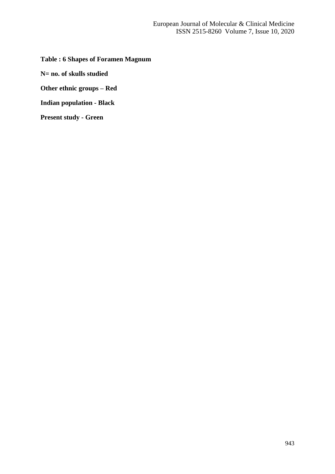**Table : 6 Shapes of Foramen Magnum**

**N= no. of skulls studied**

**Other ethnic groups – Red**

**Indian population - Black**

**Present study - Green**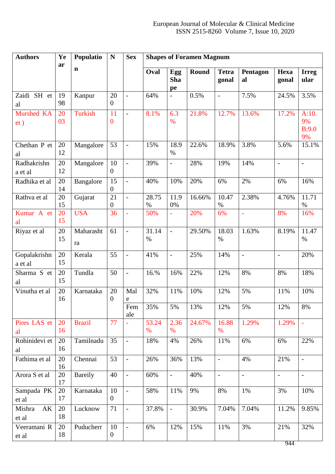| <b>Authors</b>          | Ye<br>ar | Populatio       | ${\bf N}$              | <b>Sex</b>               | <b>Shapes of Foramen Magnum</b> |                         |        |                          |                          |                          |                            |
|-------------------------|----------|-----------------|------------------------|--------------------------|---------------------------------|-------------------------|--------|--------------------------|--------------------------|--------------------------|----------------------------|
|                         |          | $\mathbf n$     |                        |                          | Oval                            | Egg<br><b>Sha</b><br>pe | Round  | <b>Tetra</b><br>gonal    | Pentagon<br>al           | Hexa<br>gonal            | <b>Irreg</b><br>ular       |
| Zaidi SH et<br>al       | 19<br>98 | Kanpur          | 20<br>$\theta$         | $\blacksquare$           | 64%                             | $\overline{a}$          | 0.5%   | $\overline{\phantom{a}}$ | 7.5%                     | 24.5%                    | 3.5%                       |
| Murshed KA<br>et)       | 20<br>03 | <b>Turkish</b>  | 11<br>$\boldsymbol{0}$ | $\overline{\phantom{a}}$ | 8.1%                            | 6.3<br>$\%$             | 21.8%  | 12.7%                    | 13.6%                    | 17.2%                    | A:10.<br>9%<br>B:9.0<br>9% |
| Chethan P et<br>al      | 20<br>12 | Mangalore       | 53                     | $\overline{\phantom{a}}$ | 15%                             | 18.9<br>$\%$            | 22.6%  | 18.9%                    | 3.8%                     | 5.6%                     | 15.1%                      |
| Radhakrishn<br>a et al  | 20<br>12 | Mangalore       | 10<br>$\overline{0}$   | $\blacksquare$           | 39%                             | $\frac{1}{2}$           | 28%    | 19%                      | 14%                      | $\overline{\phantom{a}}$ | $\frac{1}{2}$              |
| Radhika et al           | 20<br>14 | Bangalore       | 15<br>$\boldsymbol{0}$ | $\overline{\phantom{a}}$ | 40%                             | 10%                     | 20%    | 6%                       | 2%                       | 6%                       | 16%                        |
| Rathva et al            | 20<br>15 | Gujarat         | 21<br>$\boldsymbol{0}$ | $\overline{\phantom{a}}$ | 28.75<br>%                      | 11.9<br>0%              | 16.66% | 10.47<br>%               | 2.38%                    | 4.76%                    | 11.71<br>$\%$              |
| Kumar A et<br>al        | 20<br>15 | <b>USA</b>      | 36                     | $\bar{\phantom{a}}$      | 50%                             |                         | 20%    | 6%                       | L,                       | 8%                       | 16%                        |
| Riyaz et al             | 20<br>15 | Maharasht<br>ra | 61                     | $\blacksquare$           | 31.14<br>$\%$                   | $\frac{1}{2}$           | 29.50% | 18.03<br>$\%$            | 1.63%                    | 8.19%                    | 11.47<br>$\%$              |
| Gopalakrishn<br>a et al | 20<br>15 | Kerala          | 55                     | $\blacksquare$           | 41%                             | $\overline{a}$          | 25%    | 14%                      | $\overline{a}$           | $\overline{a}$           | 20%                        |
| Sharma S et<br>al       | 20<br>15 | Tundla          | 50                     | $\blacksquare$           | 16.%                            | 16%                     | 22%    | 12%                      | 8%                       | 8%                       | 18%                        |
| Vinutha et al           | 20<br>16 | Karnataka       | 20<br>$\boldsymbol{0}$ | Mal<br>e                 | 32%                             | 11%                     | 10%    | 12%                      | 5%                       | 11%                      | 10%                        |
|                         |          |                 |                        | Fem<br>ale               | 35%                             | 5%                      | 13%    | 12%                      | 5%                       | 12%                      | 8%                         |
| Pires LAS et<br>al      | 20<br>16 | <b>Brazil</b>   | 77                     |                          | 53.24<br>$\%$                   | 2.36<br>$\%$            | 24.67% | 16.88<br>$\%$            | 1.29%                    | 1.29%                    | $\Box$                     |
| Rohinidevi et<br>al     | 20<br>16 | Tamilnadu       | 35                     | $\blacksquare$           | 18%                             | 4%                      | 26%    | 11%                      | 6%                       | 6%                       | 22%                        |
| Fathima et al           | 20<br>16 | Chennai         | 53                     | $\overline{\phantom{a}}$ | 26%                             | 36%                     | 13%    | $\equiv$                 | 4%                       | 21%                      | $\overline{\phantom{a}}$   |
| Arora S et al           | 20<br>17 | <b>Bareily</b>  | 40                     | $\overline{\phantom{a}}$ | 60%                             | $\blacksquare$          | 40%    | $\overline{\phantom{a}}$ | $\overline{\phantom{a}}$ | $\overline{\phantom{a}}$ | $\overline{\phantom{a}}$   |
| Sampada PK<br>et al     | 20<br>17 | Karnataka       | 10<br>$\mathbf{0}$     | $\overline{\phantom{a}}$ | 58%                             | 11%                     | 9%     | 8%                       | 1%                       | 3%                       | 10%                        |
| AK<br>Mishra<br>et al   | 20<br>18 | Lucknow         | 71                     | $\overline{\phantom{a}}$ | 37.8%                           | $\Box$                  | 30.9%  | 7.04%                    | 7.04%                    | 11.2%                    | 9.85%                      |
| Veeramani R<br>et al    | 20<br>18 | Puducherr       | 10<br>$\boldsymbol{0}$ | $\overline{\phantom{a}}$ | 6%                              | 12%                     | 15%    | 11%                      | 3%                       | 21%<br>944               | 32%                        |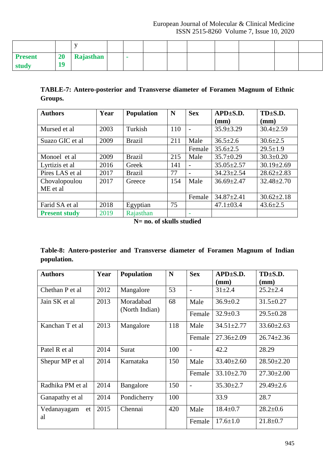| <b>Present</b> | <b>20</b> | Rajasthan |  |  |  |  |  |
|----------------|-----------|-----------|--|--|--|--|--|
| study          | 10        |           |  |  |  |  |  |

**TABLE-7: Antero-posterior and Transverse diameter of Foramen Magnum of Ethnic Groups.**

| <b>Authors</b>       | Year                                   | Population    | N   | <b>Sex</b> | $APD \pm S.D.$   | $TD \pm S.D.$    |  |
|----------------------|----------------------------------------|---------------|-----|------------|------------------|------------------|--|
|                      |                                        |               |     |            | (mm)             | (mm)             |  |
| Mursed et al         | 2003                                   | Turkish       | 110 |            | $35.9 \pm 3.29$  | $30.4 \pm 2.59$  |  |
| Suazo GIC et al      | 2009                                   | <b>Brazil</b> | 211 | Male       | $36.5 \pm 2.6$   | $30.6 \pm 2.5$   |  |
|                      |                                        |               |     | Female     | $35.6 \pm 2.5$   | $29.5 \pm 1.9$   |  |
| Monoel et al         | 2009<br><b>Brazil</b><br>2016<br>Greek |               | 215 | Male       | $35.7 \pm 0.29$  | $30.3 \pm 0.20$  |  |
| Lyrtizis et al       |                                        |               | 141 |            | $35.05 \pm 2.57$ | $30.19 \pm 2.69$ |  |
| Pires LAS et al      | 2017                                   | <b>Brazil</b> | 77  |            | $34.23 \pm 2.54$ | $28.62 \pm 2.83$ |  |
| Chovalopoulou        | 2017                                   | Greece        | 154 | Male       | $36.69 \pm 2.47$ | $32.48 \pm 2.70$ |  |
| ME et al             |                                        |               |     |            |                  |                  |  |
|                      |                                        |               |     | Female     | $34.87 \pm 2.41$ | $30.62 \pm 2.18$ |  |
| Farid SA et al       | 2018                                   | Egyptian      | 75  |            | $47.1 \pm 03.4$  | $43.6 \pm 2.5$   |  |
| <b>Present study</b> | 2019                                   | Rajasthan     |     |            |                  |                  |  |

**N= no. of skulls studied**

|             | Table-8: Antero-posterior and Transverse diameter of Foramen Magnum of Indian |  |  |  |  |
|-------------|-------------------------------------------------------------------------------|--|--|--|--|
| population. |                                                                               |  |  |  |  |

| <b>Authors</b>    | Year | <b>Population</b>           | N   | <b>Sex</b>               | $APD \pm S.D.$<br>$(\mathbf{mm})$ | $TD \pm S.D.$<br>(mm) |
|-------------------|------|-----------------------------|-----|--------------------------|-----------------------------------|-----------------------|
| Chethan P et al   | 2012 | Mangalore                   | 53  |                          | $31 \pm 2.4$                      | $25.2 \pm 2.4$        |
| Jain SK et al     | 2013 | Moradabad<br>(North Indian) | 68  | Male                     | $36.9 \pm 0.2$                    | $31.5 \pm 0.27$       |
|                   |      |                             |     | Female                   | $32.9 \pm 0.3$                    | $29.5 \pm 0.28$       |
| Kanchan T et al   | 2013 | Mangalore                   | 118 | Male                     | $34.51 \pm 2.77$                  | $33.60 \pm 2.63$      |
|                   |      |                             |     | Female                   | $27.36 \pm 2.09$                  | $26.74 \pm 2.36$      |
| Patel R et al     | 2014 | Surat                       | 100 | $\overline{\phantom{0}}$ | 42.2                              | 28.29                 |
| Shepur MP et al   | 2014 | Karnataka                   | 150 | Male                     | $33.40 \pm 2.60$                  | $28.50 \pm 2.20$      |
|                   |      |                             |     | Female                   | $33.10 \pm 2.70$                  | $27.30 \pm 2.00$      |
| Radhika PM et al  | 2014 | Bangalore                   | 150 |                          | $35.30 \pm 2.7$                   | $29.49 \pm 2.6$       |
| Ganapathy et al   | 2014 | Pondicherry                 | 100 |                          | 33.9                              | 28.7                  |
| Vedanayagam<br>et | 2015 | Chennai                     | 420 | Male                     | $18.4 \pm 0.7$                    | $28.2 \pm 0.6$        |
| al                |      |                             |     | Female                   | $17.6 \pm 1.0$                    | $21.8 \pm 0.7$        |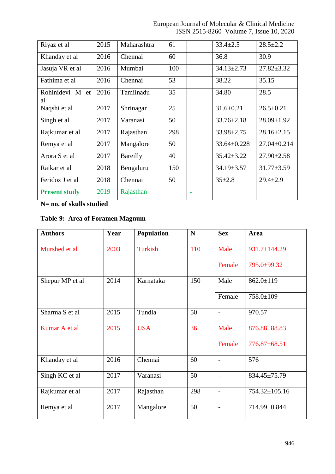European Journal of Molecular & Clinical Medicine ISSN 2515-8260 Volume 7, Issue 10, 2020

| Riyaz et al           | 2015 | Maharashtra | 61  |  | $33.4 \pm 2.5$    | $28.5 \pm 2.2$    |
|-----------------------|------|-------------|-----|--|-------------------|-------------------|
| Khanday et al         | 2016 | Chennai     | 60  |  | 36.8              | 30.9              |
| Jasuja VR et al       | 2016 | Mumbai      | 100 |  | $34.13 \pm 2.73$  | $27.82 \pm 3.32$  |
| Fathima et al         | 2016 | Chennai     | 53  |  | 38.22             | 35.15             |
| Rohinidevi M et<br>al | 2016 | Tamilnadu   | 35  |  | 34.80             | 28.5              |
| Naqshi et al          | 2017 | Shrinagar   | 25  |  | $31.6 \pm 0.21$   | $26.5 \pm 0.21$   |
| Singh et al           | 2017 | Varanasi    | 50  |  | $33.76 \pm 2.18$  | $28.09 \pm 1.92$  |
| Rajkumar et al        | 2017 | Rajasthan   | 298 |  | $33.98 \pm 2.75$  | $28.16 \pm 2.15$  |
| Remya et al           | 2017 | Mangalore   | 50  |  | $33.64 \pm 0.228$ | $27.04 \pm 0.214$ |
| Arora S et al         | 2017 | Bareilly    | 40  |  | $35.42 \pm 3.22$  | $27.90 \pm 2.58$  |
| Raikar et al          | 2018 | Bengaluru   | 150 |  | $34.19 \pm 3.57$  | $31.77 \pm 3.59$  |
| Feridoz J et al       | 2018 | Chennai     | 50  |  | $35 \pm 2.8$      | $29.4 \pm 2.9$    |
| <b>Present study</b>  | 2019 | Rajasthan   |     |  |                   |                   |

**N= no. of skulls studied**

**Table-9: Area of Foramen Magnum**

| <b>Authors</b>  | Year | <b>Population</b> | N   | <b>Sex</b>               | <b>Area</b>     |
|-----------------|------|-------------------|-----|--------------------------|-----------------|
| Murshed et al   | 2003 | <b>Turkish</b>    | 110 | Male                     | 931.7±144.29    |
|                 |      |                   |     | Female                   | 795.0±99.32     |
| Shepur MP et al | 2014 | Karnataka         | 150 | Male                     | $862.0 \pm 119$ |
|                 |      |                   |     | Female                   | $758.0 \pm 109$ |
| Sharma S et al  | 2015 | Tundla            | 50  | $\overline{a}$           | 970.57          |
| Kumar A et al   | 2015 | <b>USA</b>        | 36  | Male                     | 876.88±88.83    |
|                 |      |                   |     | Female                   | 776.87±68.51    |
| Khanday et al   | 2016 | Chennai           | 60  | $\overline{a}$           | 576             |
| Singh KC et al  | 2017 | Varanasi          | 50  | $\blacksquare$           | 834.45±75.79    |
| Rajkumar et al  | 2017 | Rajasthan         | 298 |                          | 754.32±105.16   |
| Remya et al     | 2017 | Mangalore         | 50  | $\overline{\phantom{a}}$ | 714.99±0.844    |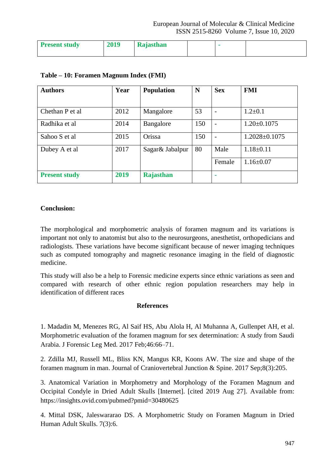| <b>Present study</b> | 2019 | Rajasthan |  |  |
|----------------------|------|-----------|--|--|
|                      |      |           |  |  |

| <b>Authors</b>       | Year | <b>Population</b> | N   | <b>Sex</b> | <b>FMI</b>          |
|----------------------|------|-------------------|-----|------------|---------------------|
|                      |      |                   |     |            |                     |
| Chethan P et al      | 2012 | Mangalore         | 53  |            | $1.2 \pm 0.1$       |
| Radhika et al        | 2014 | Bangalore         | 150 |            | $1.20 \pm 0.1075$   |
| Sahoo S et al        | 2015 | Orissa            | 150 |            | $1.2028 \pm 0.1075$ |
| Dubey A et al        | 2017 | Sagar& Jabalpur   | 80  | Male       | $1.18 \pm 0.11$     |
|                      |      |                   |     | Female     | $1.16 \pm 0.07$     |
| <b>Present study</b> | 2019 | Rajasthan         |     |            |                     |

# **Table – 10: Foramen Magnum Index (FMI)**

## **Conclusion:**

The morphological and morphometric analysis of foramen magnum and its variations is important not only to anatomist but also to the neurosurgeons, anesthetist, orthopedicians and radiologists. These variations have become significant because of newer imaging techniques such as computed tomography and magnetic resonance imaging in the field of diagnostic medicine.

This study will also be a help to Forensic medicine experts since ethnic variations as seen and compared with research of other ethnic region population researchers may help in identification of different races

## **References**

1. Madadin M, Menezes RG, Al Saif HS, Abu Alola H, Al Muhanna A, Gullenpet AH, et al. Morphometric evaluation of the foramen magnum for sex determination: A study from Saudi Arabia. J Forensic Leg Med. 2017 Feb;46:66–71.

2. Zdilla MJ, Russell ML, Bliss KN, Mangus KR, Koons AW. The size and shape of the foramen magnum in man. Journal of Craniovertebral Junction & Spine. 2017 Sep;8(3):205.

3. Anatomical Variation in Morphometry and Morphology of the Foramen Magnum and Occipital Condyle in Dried Adult Skulls [Internet]. [cited 2019 Aug 27]. Available from: https://insights.ovid.com/pubmed?pmid=30480625

4. Mittal DSK, Jaleswararao DS. A Morphometric Study on Foramen Magnum in Dried Human Adult Skulls. 7(3):6.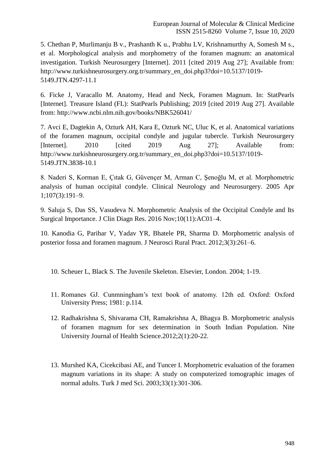5. Chethan P, Murlimanju B v., Prashanth K u., Prabhu LV, Krishnamurthy A, Somesh M s., et al. Morphological analysis and morphometry of the foramen magnum: an anatomical investigation. Turkish Neurosurgery [Internet]. 2011 [cited 2019 Aug 27]; Available from: http://www.turkishneurosurgery.org.tr/summary\_en\_doi.php3?doi=10.5137/1019- 5149.JTN.4297-11.1

6. Ficke J, Varacallo M. Anatomy, Head and Neck, Foramen Magnum. In: StatPearls [Internet]. Treasure Island (FL): StatPearls Publishing; 2019 [cited 2019 Aug 27]. Available from: http://www.ncbi.nlm.nih.gov/books/NBK526041/

7. Avci E, Dagtekin A, Ozturk AH, Kara E, Ozturk NC, Uluc K, et al. Anatomical variations of the foramen magnum, occipital condyle and jugular tubercle. Turkish Neurosurgery [Internet]. 2010 [cited 2019 Aug 27]; Available from: http://www.turkishneurosurgery.org.tr/summary\_en\_doi.php3?doi=10.5137/1019- 5149.JTN.3838-10.1

8. Naderi S, Korman E, Çıtak G, Güvençer M, Arman C, Şenoğlu M, et al. Morphometric analysis of human occipital condyle. Clinical Neurology and Neurosurgery. 2005 Apr 1;107(3):191–9.

9. Saluja S, Das SS, Vasudeva N. Morphometric Analysis of the Occipital Condyle and Its Surgical Importance. J Clin Diagn Res. 2016 Nov;10(11):AC01–4.

10. Kanodia G, Parihar V, Yadav YR, Bhatele PR, Sharma D. Morphometric analysis of posterior fossa and foramen magnum. J Neurosci Rural Pract. 2012;3(3):261–6.

10. Scheuer L, Black S. The Juvenile Skeleton. Elsevier, London. 2004; 1-19.

- 11. Romanes GJ. Cunmningham's text book of anatomy. 12th ed. Oxford: Oxford University Press; 1981: p.114.
- 12. Radhakrishna S, Shivarama CH, Ramakrishna A, Bhagya B. Morphometric analysis of foramen magnum for sex determination in South Indian Population. Nite University Journal of Health Science.2012;2(1):20-22.
- 13. Murshed KA, Cicekcibasi AE, and Tuncer I. Morphometric evaluation of the foramen magnum variations in its shape: A study on computerized tomographic images of normal adults. Turk J med Sci. 2003;33(1):301-306.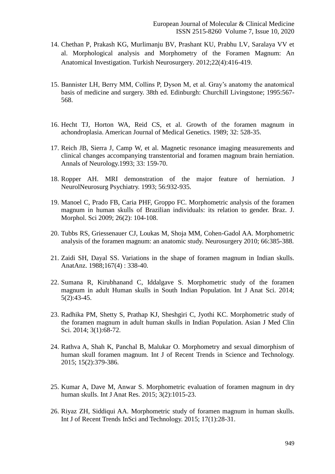- 14. Chethan P, Prakash KG, Murlimanju BV, Prashant KU, Prabhu LV, Saralaya VV et al. Morphological analysis and Morphometry of the Foramen Magnum: An Anatomical Investigation. Turkish Neurosurgery. 2012;22(4):416-419.
- 15. Bannister LH, Berry MM, Collins P, Dyson M, et al. Gray's anatomy the anatomical basis of medicine and surgery. 38th ed. Edinburgh: Churchill Livingstone; 1995:567- 568.
- 16. Hecht TJ, Horton WA, Reid CS, et al. Growth of the foramen magnum in achondroplasia. American Journal of Medical Genetics. 1989; 32: 528-35.
- 17. Reich JB, Sierra J, Camp W, et al. Magnetic resonance imaging measurements and clinical changes accompanying transtentorial and foramen magnum brain herniation. Annals of Neurology.1993; 33: 159-70.
- 18. Ropper AH. MRI demonstration of the major feature of herniation. J NeurolNeurosurg Psychiatry. 1993; 56:932-935.
- 19. Manoel C, Prado FB, Caria PHF, Groppo FC. Morphometric analysis of the foramen magnum in human skulls of Brazilian individuals: its relation to gender. Braz. J. Morphol. Sci 2009; 26(2): 104-108.
- 20. Tubbs RS, Griessenauer CJ, Loukas M, Shoja MM, Cohen-Gadol AA. Morphometric analysis of the foramen magnum: an anatomic study. Neurosurgery 2010; 66:385-388.
- 21. Zaidi SH, Dayal SS. Variations in the shape of foramen magnum in Indian skulls. AnatAnz. 1988;167(4) : 338-40.
- 22. Sumana R, Kirubhanand C, Iddalgave S. Morphometric study of the foramen magnum in adult Human skulls in South Indian Population. Int J Anat Sci. 2014; 5(2):43-45.
- 23. Radhika PM, Shetty S, Prathap KJ, Sheshgiri C, Jyothi KC. Morphometric study of the foramen magnum in adult human skulls in Indian Population. Asian J Med Clin Sci. 2014; 3(1):68-72.
- 24. Rathva A, Shah K, Panchal B, Malukar O. Morphometry and sexual dimorphism of human skull foramen magnum. Int J of Recent Trends in Science and Technology. 2015; 15(2):379-386.
- 25. Kumar A, Dave M, Anwar S. Morphometric evaluation of foramen magnum in dry human skulls. Int J Anat Res. 2015; 3(2):1015-23.
- 26. Riyaz ZH, Siddiqui AA. Morphometric study of foramen magnum in human skulls. Int J of Recent Trends InSci and Technology. 2015; 17(1):28-31.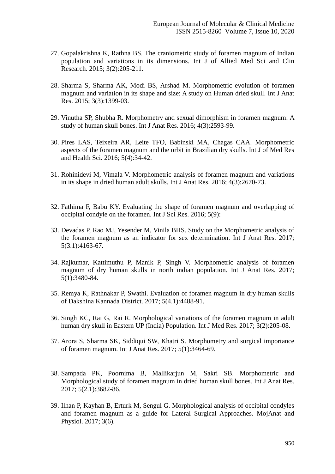- 27. Gopalakrishna K, Rathna BS. The craniometric study of foramen magnum of Indian population and variations in its dimensions. Int J of Allied Med Sci and Clin Research. 2015; 3(2):205-211.
- 28. Sharma S, Sharma AK, Modi BS, Arshad M. Morphometric evolution of foramen magnum and variation in its shape and size: A study on Human dried skull. Int J Anat Res. 2015; 3(3):1399-03.
- 29. Vinutha SP, Shubha R. Morphometry and sexual dimorphism in foramen magnum: A study of human skull bones. Int J Anat Res. 2016; 4(3):2593-99.
- 30. Pires LAS, Teixeira AR, Leite TFO, Babinski MA, Chagas CAA. Morphometric aspects of the foramen magnum and the orbit in Brazilian dry skulls. Int J of Med Res and Health Sci. 2016; 5(4):34-42.
- 31. Rohinidevi M, Vimala V. Morphometric analysis of foramen magnum and variations in its shape in dried human adult skulls. Int J Anat Res. 2016; 4(3):2670-73.
- 32. Fathima F, Babu KY. Evaluating the shape of foramen magnum and overlapping of occipital condyle on the foramen. Int J Sci Res. 2016; 5(9):
- 33. Devadas P, Rao MJ, Yesender M, Vinila BHS. Study on the Morphometric analysis of the foramen magnum as an indicator for sex determination. Int J Anat Res. 2017; 5(3.1):4163-67.
- 34. Rajkumar, Kattimuthu P, Manik P, Singh V. Morphometric analysis of foramen magnum of dry human skulls in north indian population. Int J Anat Res. 2017; 5(1):3480-84.
- 35. Remya K, Rathnakar P, Swathi. Evaluation of foramen magnum in dry human skulls of Dakshina Kannada District. 2017; 5(4.1):4488-91.
- 36. Singh KC, Rai G, Rai R. Morphological variations of the foramen magnum in adult human dry skull in Eastern UP (India) Population. Int J Med Res. 2017; 3(2):205-08.
- 37. Arora S, Sharma SK, Siddiqui SW, Khatri S. Morphometry and surgical importance of foramen magnum. Int J Anat Res. 2017; 5(1):3464-69.
- 38. Sampada PK, Poornima B, Mallikarjun M, Sakri SB. Morphometric and Morphological study of foramen magnum in dried human skull bones. Int J Anat Res. 2017; 5(2.1):3682-86.
- 39. Ilhan P, Kayhan B, Erturk M, Sengul G. Morphological analysis of occipital condyles and foramen magnum as a guide for Lateral Surgical Approaches. MojAnat and Physiol. 2017; 3(6).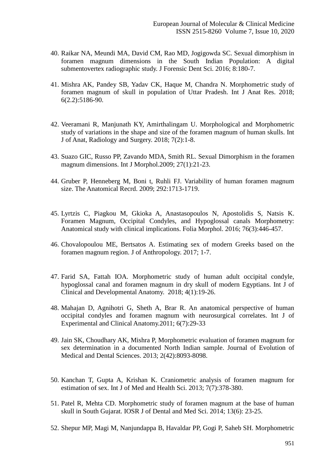- 40. Raikar NA, Meundi MA, David CM, Rao MD, Jogigowda SC. Sexual dimorphism in foramen magnum dimensions in the South Indian Population: A digital submentovertex radiographic study. J Forensic Dent Sci. 2016; 8:180-7.
- 41. Mishra AK, Pandey SB, Yadav CK, Haque M, Chandra N. Morphometric study of foramen magnum of skull in population of Uttar Pradesh. Int J Anat Res. 2018; 6(2.2):5186-90.
- 42. Veeramani R, Manjunath KY, Amirthalingam U. Morphological and Morphometric study of variations in the shape and size of the foramen magnum of human skulls. Int J of Anat, Radiology and Surgery. 2018; 7(2):1-8.
- 43. Suazo GIC, Russo PP, Zavando MDA, Smith RL. Sexual Dimorphism in the foramen magnum dimensions. Int J Morphol.2009; 27(1):21-23.
- 44. Gruber P, Henneberg M, Boni t, Ruhli FJ. Variability of human foramen magnum size. The Anatomical Recrd. 2009; 292:1713-1719.
- 45. Lyrtzis C, Piagkou M, Gkioka A, Anastasopoulos N, Apostolidis S, Natsis K. Foramen Magnum, Occipital Condyles, and Hypoglossal canals Morphometry: Anatomical study with clinical implications. Folia Morphol. 2016; 76(3):446-457.
- 46. Chovalopoulou ME, Bertsatos A. Estimating sex of modern Greeks based on the foramen magnum region. J of Anthropology. 2017; 1-7.
- 47. Farid SA, Fattah IOA. Morphometric study of human adult occipital condyle, hypoglossal canal and foramen magnum in dry skull of modern Egyptians. Int J of Clinical and Developmental Anatomy. 2018; 4(1):19-26.
- 48. Mahajan D, Agnihotri G, Sheth A, Brar R. An anatomical perspective of human occipital condyles and foramen magnum with neurosurgical correlates. Int J of Experimental and Clinical Anatomy.2011; 6(7):29-33
- 49. Jain SK, Choudhary AK, Mishra P, Morphometric evaluation of foramen magnum for sex determination in a documented North Indian sample. Journal of Evolution of Medical and Dental Sciences. 2013; 2(42):8093-8098.
- 50. Kanchan T, Gupta A, Krishan K. Craniometric analysis of foramen magnum for estimation of sex. Int J of Med and Health Sci. 2013; 7(7):378-380.
- 51. Patel R, Mehta CD. Morphometric study of foramen magnum at the base of human skull in South Gujarat. IOSR J of Dental and Med Sci. 2014; 13(6): 23-25.
- 52. Shepur MP, Magi M, Nanjundappa B, Havaldar PP, Gogi P, Saheb SH. Morphometric